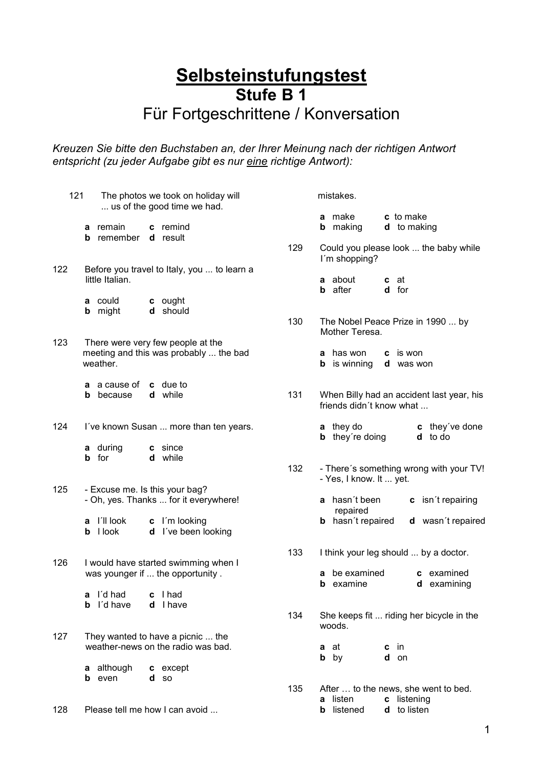## **Selbsteinstufungstest Stufe B 1** Für Fortgeschrittene / Konversation

*Kreuzen Sie bitte den Buchstaben an, der Ihrer Meinung nach der richtigen Antwort entspricht (zu jeder Aufgabe gibt es nur eine richtige Antwort):*

| 121 |              | The photos we took on holiday will<br>us of the good time we had. |                                                                         |                                                                           |     |                           | mistakes.                                  |                   |                                                     |  |
|-----|--------------|-------------------------------------------------------------------|-------------------------------------------------------------------------|---------------------------------------------------------------------------|-----|---------------------------|--------------------------------------------|-------------------|-----------------------------------------------------|--|
|     | b            | a remain<br>remember                                              |                                                                         | c remind<br><b>d</b> result                                               |     |                           | a make<br><b>b</b> making                  |                   | c to make<br><b>d</b> to making                     |  |
|     |              |                                                                   |                                                                         |                                                                           | 129 |                           | I'm shopping?                              |                   | Could you please look  the baby while               |  |
| 122 |              | little Italian.                                                   |                                                                         | Before you travel to Italy, you  to learn a                               |     | b                         | a about<br>after                           |                   | <b>c</b> at<br>d for                                |  |
|     |              | a could<br><b>b</b> might                                         |                                                                         | c ought<br>d should                                                       | 130 |                           |                                            |                   | The Nobel Peace Prize in 1990  by                   |  |
| 123 |              |                                                                   |                                                                         | There were very few people at the                                         |     |                           | Mother Teresa.                             |                   |                                                     |  |
|     |              | weather.                                                          |                                                                         | meeting and this was probably  the bad                                    |     |                           | <b>a</b> has won<br><b>b</b> is winning    |                   | <b>c</b> is won<br><b>d</b> was won                 |  |
|     | b            | <b>a</b> a cause of<br>because                                    |                                                                         | c due to<br>d while                                                       | 131 |                           |                                            |                   | When Billy had an accident last year, his           |  |
|     |              |                                                                   |                                                                         |                                                                           |     |                           | friends didn't know what                   |                   |                                                     |  |
| 124 |              |                                                                   |                                                                         | I've known Susan  more than ten years.                                    |     |                           | <b>a</b> they do<br><b>b</b> they're doing |                   | c they've done<br>d to do                           |  |
|     | <b>b</b> for | a during                                                          |                                                                         | c since<br>d while                                                        |     |                           |                                            |                   |                                                     |  |
|     |              |                                                                   |                                                                         |                                                                           | 132 |                           | - Yes, I know. It  yet.                    |                   | - There's something wrong with your TV!             |  |
| 125 |              |                                                                   | - Excuse me. Is this your bag?<br>- Oh, yes. Thanks  for it everywhere! |                                                                           |     | a hasn't been<br>repaired |                                            | c isn't repairing |                                                     |  |
|     |              | a l'Il look<br><b>b</b> I look                                    |                                                                         | c I'm looking<br>d I've been looking                                      |     |                           | <b>b</b> hasn't repaired                   |                   | d wasn't repaired                                   |  |
|     |              |                                                                   |                                                                         |                                                                           | 133 |                           |                                            |                   | I think your leg should  by a doctor.               |  |
| 126 |              |                                                                   |                                                                         | I would have started swimming when I<br>was younger if  the opportunity . |     | b                         | a be examined<br>examine                   |                   | c examined<br>examining<br>d                        |  |
|     | b            | a I'd had<br>I'd have                                             |                                                                         | c I had<br>d I have                                                       |     |                           |                                            |                   |                                                     |  |
|     |              |                                                                   |                                                                         |                                                                           | 134 |                           | woods.                                     |                   | She keeps fit  riding her bicycle in the            |  |
| 127 |              |                                                                   |                                                                         | They wanted to have a picnic  the<br>weather-news on the radio was bad.   |     | а<br>$\mathbf b$          | at<br>by                                   | c<br>d            | in<br>on                                            |  |
|     | а<br>b       | although<br>even                                                  | d                                                                       | c except<br><b>SO</b>                                                     |     |                           |                                            |                   |                                                     |  |
|     |              |                                                                   |                                                                         |                                                                           | 135 | a                         | listen                                     |                   | After  to the news, she went to bed.<br>c listening |  |
| 128 |              |                                                                   |                                                                         | Please tell me how I can avoid                                            |     | b                         | listened                                   |                   | d to listen                                         |  |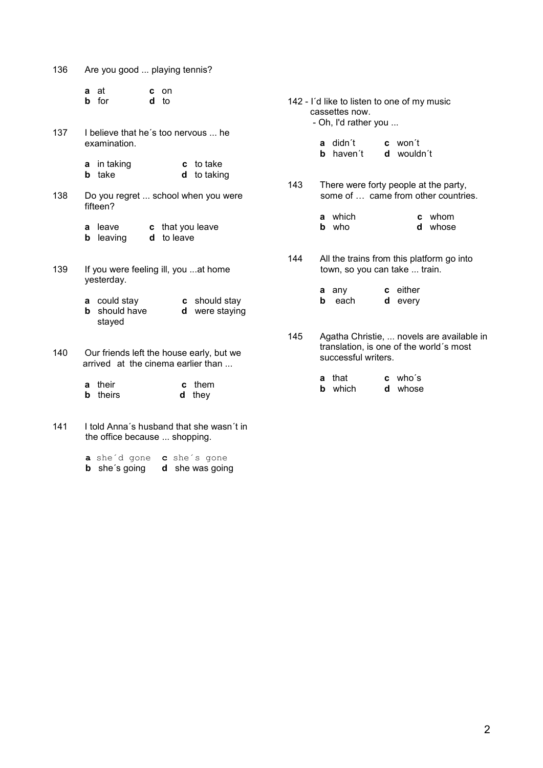| 136                                                                                   | Are you good  playing tennis?                       |                                 |  |  |  |  |  |
|---------------------------------------------------------------------------------------|-----------------------------------------------------|---------------------------------|--|--|--|--|--|
|                                                                                       | at<br>a<br>c.<br><b>b</b> for<br>d                  | on<br>to                        |  |  |  |  |  |
| 137                                                                                   | I believe that he's too nervous  he<br>examination. |                                 |  |  |  |  |  |
|                                                                                       | <b>a</b> in taking<br><b>b</b> take                 | c to take<br><b>d</b> to taking |  |  |  |  |  |
| 138                                                                                   | Do you regret  school when you were<br>fifteen?     |                                 |  |  |  |  |  |
|                                                                                       | <b>a</b> leave<br><b>b</b> leaving<br>d             | c that you leave<br>to leave    |  |  |  |  |  |
| 139                                                                                   | If you were feeling ill, you  at home<br>yesterday. |                                 |  |  |  |  |  |
|                                                                                       | <b>a</b> could stay<br>should have<br>b<br>stayed   | c should stay<br>d were staying |  |  |  |  |  |
| 140<br>Our friends left the house early, but we<br>arrived at the cinema earlier than |                                                     |                                 |  |  |  |  |  |
|                                                                                       | their<br>a<br>theirs<br>b                           | them<br>C<br>d<br>they          |  |  |  |  |  |

141 I told Anna´s husband that she wasn´t in the office because ... shopping.

> **a** she´d gone **c** she´s gone **b** she's going **d** she was going

142 - I´d like to listen to one of my music cassettes now. - Oh, I'd rather you ... **a** didn't **c** won't<br>**b** haven't **d** wouldn't **b** haven't 143 There were forty people at the party, some of … came from other countries. **a** which **c** whom<br> **b** who **d** whose **d** whose 144 All the trains from this platform go into town, so you can take ... train. **a** any **c** either<br>**b** each **d** every **b** each 145 Agatha Christie, ... novels are available in translation, is one of the world´s most successful writers.

| <b>a</b> that  | $c$ who's |
|----------------|-----------|
| <b>b</b> which | d whose   |